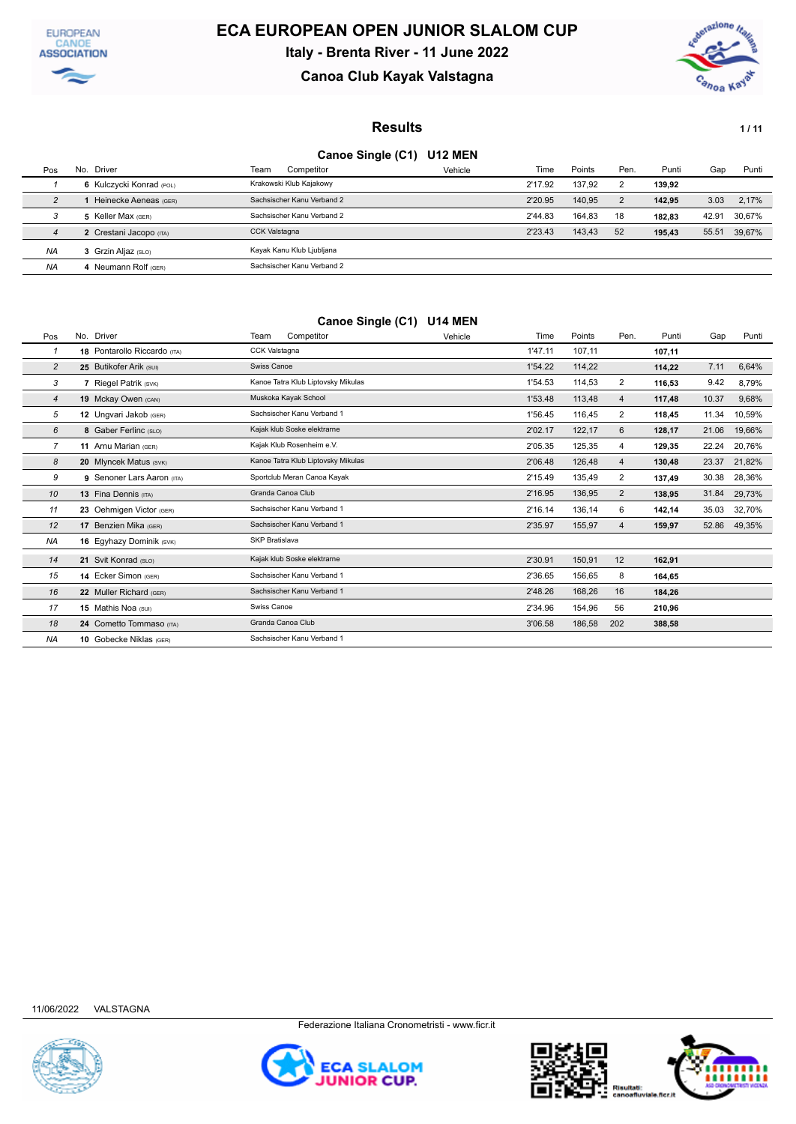



## **Canoa Club Kayak Valstagna**



#### **Results 1/11**

### **Canoe Single (C1) U12 MEN**

|           |                          |                            | .       |         |        |      |        |       |              |
|-----------|--------------------------|----------------------------|---------|---------|--------|------|--------|-------|--------------|
| Pos       | Driver<br>No.            | Team<br>Competitor         | Vehicle | Time    | Points | Pen. | Punti  | Gap   | Punti        |
|           | 6 Kulczycki Konrad (POL) | Krakowski Klub Kajakowy    |         | 2'17.92 | 137.92 | 2    | 139,92 |       |              |
| 2         | Heinecke Aeneas (GER)    | Sachsischer Kanu Verband 2 |         | 2'20.95 | 140.95 | 2    | 142.95 | 3.03  | 2.17%        |
| 3         | 5 Keller Max (GER)       | Sachsischer Kanu Verband 2 |         | 2'44.83 | 164.83 | 18   | 182.83 | 42.91 | 30.67%       |
| 4         | 2 Crestani Jacopo (ITA)  | <b>CCK Valstagna</b>       |         | 2'23.43 | 143.43 | 52   | 195.43 |       | 55.51 39,67% |
| <b>NA</b> | 3 Grzin Aljaz (SLO)      | Kayak Kanu Klub Ljubljana  |         |         |        |      |        |       |              |
| <b>NA</b> | Neumann Rolf (GER)       | Sachsischer Kanu Verband 2 |         |         |        |      |        |       |              |

### **Canoe Single (C1) U14 MEN**

| Pos            | No. Driver                   | Team<br>Competitor                 | Vehicle | Time    | Points | Pen.           | Punti  | Gap   | Punti  |
|----------------|------------------------------|------------------------------------|---------|---------|--------|----------------|--------|-------|--------|
|                | 18 Pontarollo Riccardo (ITA) | <b>CCK Valstagna</b>               |         | 1'47.11 | 107,11 |                | 107,11 |       |        |
| $\overline{c}$ | 25 Butikofer Arik (SUI)      | Swiss Canoe                        |         | 1'54.22 | 114,22 |                | 114,22 | 7.11  | 6,64%  |
| 3              | 7 Riegel Patrik (SVK)        | Kanoe Tatra Klub Liptovsky Mikulas |         | 1'54.53 | 114,53 | 2              | 116,53 | 9.42  | 8,79%  |
| $\overline{4}$ | 19 Mckay Owen (CAN)          | Muskoka Kayak School               |         | 1'53.48 | 113,48 | 4              | 117,48 | 10.37 | 9,68%  |
| 5              | 12 Ungvari Jakob (GER)       | Sachsischer Kanu Verband 1         |         | 1'56.45 | 116,45 | $\overline{2}$ | 118.45 | 11.34 | 10,59% |
| 6              | 8 Gaber Ferlinc (SLO)        | Kajak klub Soske elektrarne        |         | 2'02.17 | 122,17 | 6              | 128,17 | 21.06 | 19,66% |
| 7              | 11 Arnu Marian (GER)         | Kajak Klub Rosenheim e.V.          |         | 2'05.35 | 125,35 | 4              | 129,35 | 22.24 | 20,76% |
| 8              | 20 Mlyncek Matus (SVK)       | Kanoe Tatra Klub Liptovsky Mikulas |         | 2'06.48 | 126,48 | 4              | 130,48 | 23.37 | 21,82% |
| 9              | 9 Senoner Lars Aaron (ITA)   | Sportclub Meran Canoa Kayak        |         | 2'15.49 | 135,49 | 2              | 137,49 | 30.38 | 28,36% |
| 10             | 13 Fina Dennis (ITA)         | Granda Canoa Club                  |         | 2'16.95 | 136,95 | $\overline{2}$ | 138,95 | 31.84 | 29,73% |
| 11             | 23 Oehmigen Victor (GER)     | Sachsischer Kanu Verband 1         |         | 2'16.14 | 136,14 | 6              | 142,14 | 35.03 | 32,70% |
| 12             | 17 Benzien Mika (GER)        | Sachsischer Kanu Verband 1         |         | 2'35.97 | 155,97 | 4              | 159,97 | 52.86 | 49,35% |
| <b>NA</b>      | 16 Eqyhazy Dominik (SVK)     | SKP Bratislava                     |         |         |        |                |        |       |        |
| 14             | 21 Svit Konrad (SLO)         | Kajak klub Soske elektrarne        |         | 2'30.91 | 150,91 | 12             | 162,91 |       |        |
| 15             | 14 Ecker Simon (GER)         | Sachsischer Kanu Verband 1         |         | 2'36.65 | 156,65 | 8              | 164,65 |       |        |
| 16             | 22 Muller Richard (GER)      | Sachsischer Kanu Verband 1         |         | 2'48.26 | 168,26 | 16             | 184,26 |       |        |
| 17             | 15 Mathis Noa (SUI)          | Swiss Canoe                        |         | 2'34.96 | 154,96 | 56             | 210,96 |       |        |
| 18             | 24 Cometto Tommaso (ITA)     | Granda Canoa Club                  |         | 3'06.58 | 186,58 | 202            | 388,58 |       |        |
| <b>NA</b>      | 10 Gobecke Niklas (GER)      | Sachsischer Kanu Verband 1         |         |         |        |                |        |       |        |







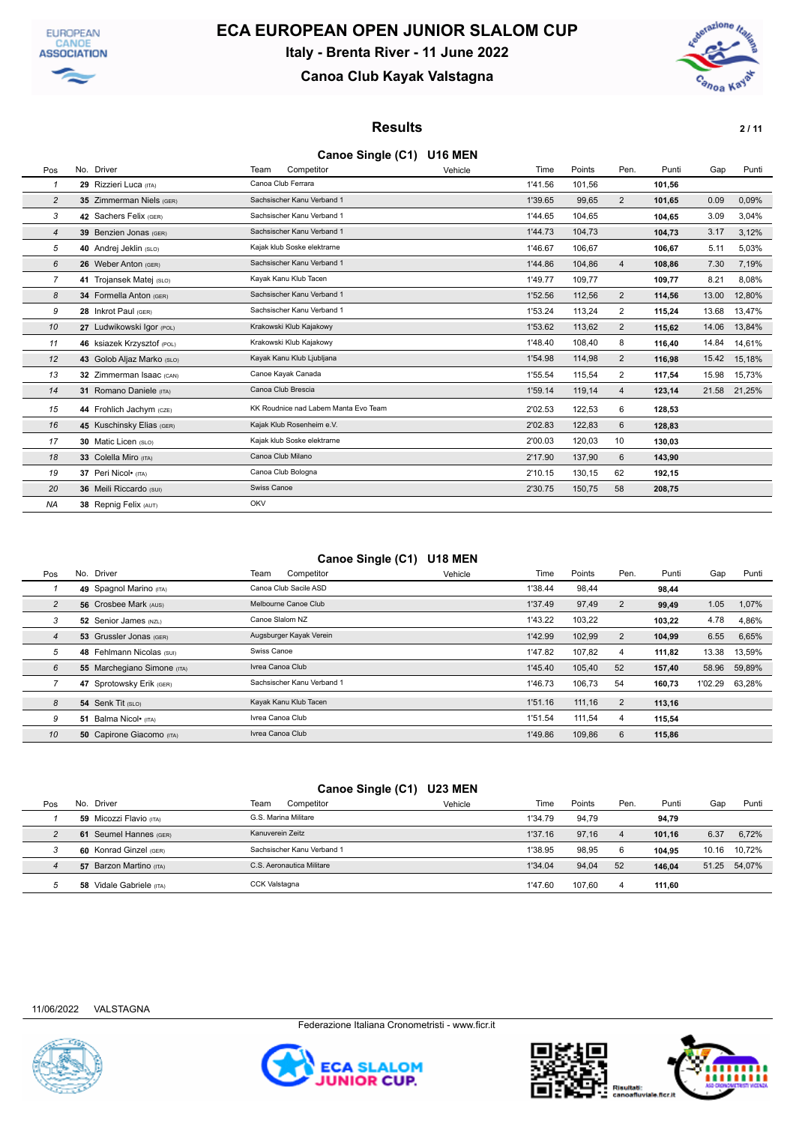



### **Canoa Club Kayak Valstagna**



### **Results** 2/11

### **Canoe Single (C1) U16 MEN**

| Pos | No. Driver                 | Team               | Competitor                           | Vehicle | Time    | Points | Pen.           | Punti  | Gap   | Punti  |
|-----|----------------------------|--------------------|--------------------------------------|---------|---------|--------|----------------|--------|-------|--------|
| 1   | 29 Rizzieri Luca (ITA)     | Canoa Club Ferrara |                                      |         | 1'41.56 | 101,56 |                | 101,56 |       |        |
| 2   | 35 Zimmerman Niels (GER)   |                    | Sachsischer Kanu Verband 1           |         | 1'39.65 | 99,65  | 2              | 101,65 | 0.09  | 0.09%  |
| 3   | 42 Sachers Felix (GER)     |                    | Sachsischer Kanu Verband 1           |         | 1'44.65 | 104,65 |                | 104,65 | 3.09  | 3,04%  |
| 4   | 39 Benzien Jonas (GER)     |                    | Sachsischer Kanu Verband 1           |         | 1'44.73 | 104,73 |                | 104,73 | 3.17  | 3,12%  |
| 5   | 40 Andrej Jeklin (SLO)     |                    | Kajak klub Soske elektrarne          |         | 1'46.67 | 106,67 |                | 106.67 | 5.11  | 5,03%  |
| 6   | 26 Weber Anton (GER)       |                    | Sachsischer Kanu Verband 1           |         | 1'44.86 | 104,86 | $\overline{4}$ | 108,86 | 7.30  | 7,19%  |
| 7   | 41 Trojansek Matej (SLO)   |                    | Kayak Kanu Klub Tacen                |         | 1'49.77 | 109,77 |                | 109,77 | 8.21  | 8,08%  |
| 8   | 34 Formella Anton (GER)    |                    | Sachsischer Kanu Verband 1           |         | 1'52.56 | 112,56 | $\overline{2}$ | 114,56 | 13.00 | 12,80% |
| 9   | 28 Inkrot Paul (GER)       |                    | Sachsischer Kanu Verband 1           |         | 1'53.24 | 113,24 | 2              | 115,24 | 13.68 | 13,47% |
| 10  | 27 Ludwikowski Igor (POL)  |                    | Krakowski Klub Kajakowy              |         | 1'53.62 | 113,62 | $\overline{2}$ | 115,62 | 14.06 | 13,84% |
| 11  | 46 ksiazek Krzysztof (POL) |                    | Krakowski Klub Kajakowy              |         | 1'48.40 | 108,40 | 8              | 116,40 | 14.84 | 14,61% |
| 12  | 43 Golob Aljaz Marko (SLO) |                    | Kayak Kanu Klub Ljubljana            |         | 1'54.98 | 114,98 | $\overline{2}$ | 116,98 | 15.42 | 15,18% |
| 13  | 32 Zimmerman Isaac (CAN)   |                    | Canoe Kayak Canada                   |         | 1'55.54 | 115,54 | 2              | 117,54 | 15.98 | 15,73% |
| 14  | 31 Romano Daniele (ITA)    | Canoa Club Brescia |                                      |         | 1'59.14 | 119,14 | $\overline{4}$ | 123,14 | 21.58 | 21,25% |
| 15  | 44 Frohlich Jachym (CZE)   |                    | KK Roudnice nad Labem Manta Evo Team |         | 2'02.53 | 122,53 | 6              | 128,53 |       |        |
| 16  | 45 Kuschinsky Elias (GER)  |                    | Kajak Klub Rosenheim e.V.            |         | 2'02.83 | 122,83 | 6              | 128,83 |       |        |
| 17  | 30 Matic Licen (SLO)       |                    | Kajak klub Soske elektrarne          |         | 2'00.03 | 120,03 | 10             | 130,03 |       |        |
| 18  | 33 Colella Miro (ITA)      | Canoa Club Milano  |                                      |         | 2'17.90 | 137,90 | 6              | 143,90 |       |        |
| 19  | 37 Peri Nicol• (ITA)       |                    | Canoa Club Bologna                   |         | 2'10.15 | 130,15 | 62             | 192,15 |       |        |
| 20  | 36 Meili Riccardo (SUI)    | Swiss Canoe        |                                      |         | 2'30.75 | 150,75 | 58             | 208,75 |       |        |
| ΝA  | 38 Repnig Felix (AUT)      | OKV                |                                      |         |         |        |                |        |       |        |

### **Canoe Single (C1) U18 MEN**

| Pos            |    | No. Driver                       | Team<br>Competitor         | Vehicle | Time    | Points | Pen.           | Punti  | Gap     | Punti  |
|----------------|----|----------------------------------|----------------------------|---------|---------|--------|----------------|--------|---------|--------|
|                |    | 49 Spagnol Marino (ITA)          | Canoa Club Sacile ASD      |         | 1'38.44 | 98.44  |                | 98,44  |         |        |
| $\overline{c}$ |    | 56 Crosbee Mark (AUS)            | Melbourne Canoe Club       |         | 1'37.49 | 97,49  | $\overline{2}$ | 99,49  | 1.05    | 1,07%  |
| 3              |    | 52 Senior James (NZL)            | Canoe Slalom NZ            |         | 1'43.22 | 103.22 |                | 103.22 | 4.78    | 4,86%  |
| $\overline{4}$ |    | 53 Grussler Jonas (GER)          | Augsburger Kayak Verein    |         | 1'42.99 | 102,99 | 2              | 104,99 | 6.55    | 6,65%  |
| 5              |    | 48 Fehlmann Nicolas (SUI)        | Swiss Canoe                |         | 1'47.82 | 107,82 | 4              | 111.82 | 13.38   | 13.59% |
| 6              |    | 55 Marchegiano Simone (ITA)      | Ivrea Canoa Club           |         | 1'45.40 | 105,40 | 52             | 157,40 | 58.96   | 59,89% |
|                |    | 47 Sprotowsky Erik (GER)         | Sachsischer Kanu Verband 1 |         | 1'46.73 | 106,73 | 54             | 160,73 | 1'02.29 | 63,28% |
| 8              |    | 54 Senk Tit (SLO)                | Kayak Kanu Klub Tacen      |         | 1'51.16 | 111,16 | $\overline{2}$ | 113,16 |         |        |
| 9              | 51 | Balma Nicol• (ITA)               | Ivrea Canoa Club           |         | 1'51.54 | 111.54 | 4              | 115,54 |         |        |
| 10             |    | <b>50 Capirone Giacomo</b> (ITA) | Ivrea Canoa Club           |         | 1'49.86 | 109.86 | 6              | 115.86 |         |        |

### **Canoe Single (C1) U23 MEN**

| Pos | Driver<br>No.               | Team<br>Competitor         | Vehicle | Time    | Points | Pen. | Punti  | Gap   | Punti        |
|-----|-----------------------------|----------------------------|---------|---------|--------|------|--------|-------|--------------|
|     | 59 Micozzi Flavio (ITA)     | G.S. Marina Militare       |         | 1'34.79 | 94.79  |      | 94.79  |       |              |
|     | Seumel Hannes (GER)<br>61   | Kanuverein Zeitz           |         | 1'37.16 | 97.16  | 4    | 101.16 | 6.37  | 6,72%        |
|     | 60 Konrad Ginzel (GER)      | Sachsischer Kanu Verband 1 |         | 1'38.95 | 98.95  | 6    | 104.95 | 10.16 | 10.72%       |
|     | 57 Barzon Martino (ITA)     | C.S. Aeronautica Militare  |         | 1'34.04 | 94.04  | 52   | 146.04 |       | 51.25 54,07% |
|     | Vidale Gabriele (ITA)<br>58 | CCK Valstagna              |         | 1'47.60 | 107.60 | 4    | 111.60 |       |              |





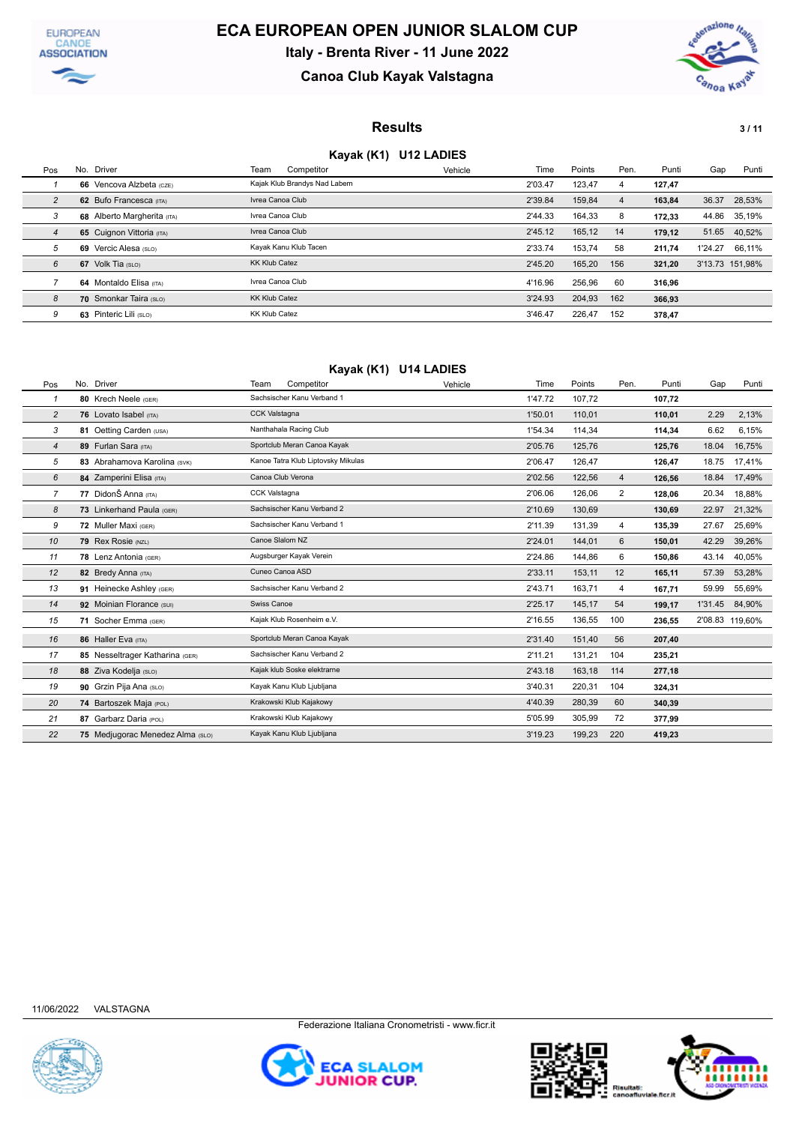



## **Canoa Club Kayak Valstagna**



### **Results** 3/11

### **Kayak (K1) U12 LADIES**

| Pos            |    | No. Driver                  | Team                  | Competitor                   | Vehicle | Time    | Points | Pen.           | Punti  | Gap             | Punti        |
|----------------|----|-----------------------------|-----------------------|------------------------------|---------|---------|--------|----------------|--------|-----------------|--------------|
|                |    | 66 Vencova Alzbeta (CZE)    |                       | Kajak Klub Brandys Nad Labem |         | 2'03.47 | 123.47 | 4              | 127,47 |                 |              |
| 2              |    | 62 Bufo Francesca (ITA)     | Ivrea Canoa Club      |                              |         | 2'39.84 | 159,84 | $\overline{4}$ | 163.84 | 36.37           | 28,53%       |
| 3              |    | 68 Alberto Margherita (ITA) | Ivrea Canoa Club      |                              |         | 2'44.33 | 164.33 | 8              | 172.33 |                 | 44.86 35,19% |
| $\overline{4}$ |    | 65 Cuignon Vittoria (ITA)   | Ivrea Canoa Club      |                              |         | 2'45.12 | 165.12 | 14             | 179.12 | 51.65           | 40.52%       |
| 5              | 69 | Vercic Alesa (SLO)          | Kavak Kanu Klub Tacen |                              |         | 2'33.74 | 153.74 | 58             | 211.74 | 1'24.27         | 66,11%       |
| 6              |    | 67 Volk Tia (SLO)           | <b>KK Klub Catez</b>  |                              |         | 2'45.20 | 165,20 | 156            | 321.20 | 3'13.73 151,98% |              |
|                |    | 64 Montaldo Elisa (ITA)     | Ivrea Canoa Club      |                              |         | 4'16.96 | 256,96 | 60             | 316.96 |                 |              |
| 8              |    | 70 Smonkar Taira (SLO)      | <b>KK Klub Catez</b>  |                              |         | 3'24.93 | 204.93 | 162            | 366,93 |                 |              |
| 9              | 63 | Pinteric Lili (SLO)         | <b>KK Klub Catez</b>  |                              |         | 3'46.47 | 226.47 | 152            | 378.47 |                 |              |

### **Kayak (K1) U14 LADIES**

| Pos            | No. Driver                       | Competitor<br>Team                 | Vehicle | Time    | Points | Pen. | Punti  | Gap     | Punti           |
|----------------|----------------------------------|------------------------------------|---------|---------|--------|------|--------|---------|-----------------|
| $\mathbf{1}$   | 80 Krech Neele (GER)             | Sachsischer Kanu Verband 1         |         | 1'47.72 | 107,72 |      | 107,72 |         |                 |
| $\overline{c}$ | 76 Lovato Isabel (ITA)           | CCK Valstagna                      |         | 1'50.01 | 110,01 |      | 110,01 | 2.29    | 2,13%           |
| 3              | 81 Oetting Carden (USA)          | Nanthahala Racing Club             |         | 1'54.34 | 114,34 |      | 114,34 | 6.62    | 6,15%           |
| $\overline{4}$ | 89 Furlan Sara (ITA)             | Sportclub Meran Canoa Kayak        |         | 2'05.76 | 125,76 |      | 125,76 | 18.04   | 16,75%          |
| 5              | 83 Abrahamova Karolina (SVK)     | Kanoe Tatra Klub Liptovsky Mikulas |         | 2'06.47 | 126,47 |      | 126,47 | 18.75   | 17,41%          |
| 6              | 84 Zamperini Elisa (ITA)         | Canoa Club Verona                  |         | 2'02.56 | 122,56 | 4    | 126,56 | 18.84   | 17,49%          |
| $\overline{7}$ | 77 DidonŠ Anna (ITA)             | CCK Valstagna                      |         | 2'06.06 | 126,06 | 2    | 128.06 | 20.34   | 18,88%          |
| 8              | 73 Linkerhand Paula (GER)        | Sachsischer Kanu Verband 2         |         | 2'10.69 | 130,69 |      | 130,69 | 22.97   | 21,32%          |
| 9              | 72 Muller Maxi (GER)             | Sachsischer Kanu Verband 1         |         | 2'11.39 | 131,39 | 4    | 135,39 | 27.67   | 25,69%          |
| 10             | 79 Rex Rosie (NZL)               | Canoe Slalom NZ                    |         | 2'24.01 | 144,01 | 6    | 150.01 | 42.29   | 39,26%          |
| 11             | 78 Lenz Antonia (GER)            | Augsburger Kayak Verein            |         | 2'24.86 | 144,86 | 6    | 150,86 | 43.14   | 40,05%          |
| 12             | 82 Bredy Anna (ITA)              | Cuneo Canoa ASD                    |         | 2'33.11 | 153,11 | 12   | 165,11 | 57.39   | 53,28%          |
| 13             | 91 Heinecke Ashley (GER)         | Sachsischer Kanu Verband 2         |         | 2'43.71 | 163.71 | 4    | 167,71 | 59.99   | 55,69%          |
| 14             | 92 Moinian Florance (SUI)        | Swiss Canoe                        |         | 2'25.17 | 145,17 | 54   | 199,17 | 1'31.45 | 84,90%          |
| 15             | 71 Socher Emma (GER)             | Kajak Klub Rosenheim e.V.          |         | 2'16.55 | 136,55 | 100  | 236,55 |         | 2'08.83 119,60% |
| 16             | 86 Haller Eva (ITA)              | Sportclub Meran Canoa Kayak        |         | 2'31.40 | 151,40 | 56   | 207,40 |         |                 |
| 17             | 85 Nesseltrager Katharina (GER)  | Sachsischer Kanu Verband 2         |         | 2'11.21 | 131,21 | 104  | 235,21 |         |                 |
| 18             | 88 Ziva Kodelja (SLO)            | Kajak klub Soske elektrarne        |         | 2'43.18 | 163,18 | 114  | 277,18 |         |                 |
| 19             | 90 Grzin Pija Ana (SLO)          | Kayak Kanu Klub Ljubljana          |         | 3'40.31 | 220,31 | 104  | 324,31 |         |                 |
| 20             | 74 Bartoszek Maja (POL)          | Krakowski Klub Kajakowy            |         | 4'40.39 | 280,39 | 60   | 340,39 |         |                 |
| 21             | 87 Garbarz Daria (POL)           | Krakowski Klub Kajakowy            |         | 5'05.99 | 305,99 | 72   | 377,99 |         |                 |
| 22             | 75 Medjugorac Menedez Alma (SLO) | Kayak Kanu Klub Ljubljana          |         | 3'19.23 | 199,23 | 220  | 419,23 |         |                 |





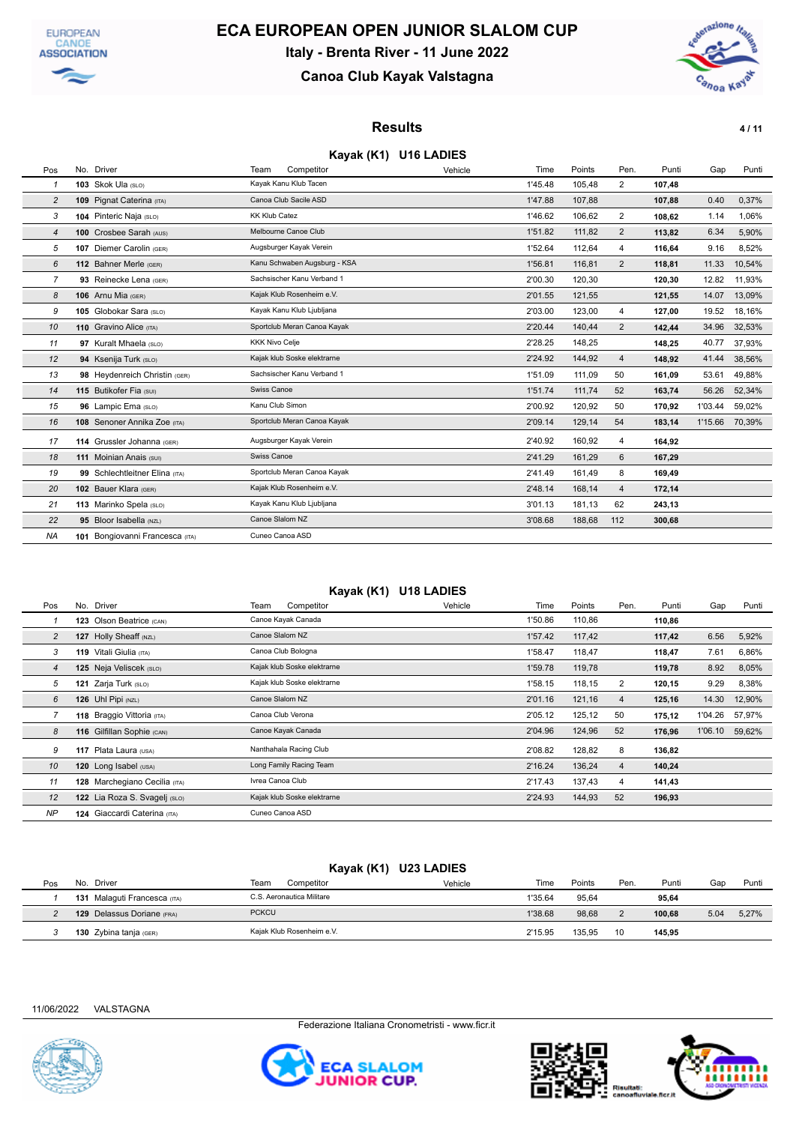



## **Canoa Club Kayak Valstagna**



### **Results 111**

### **Kayak (K1) U16 LADIES**

| Pos            | No. Driver                      | Team                  | Competitor                   | Vehicle | Time    | Points | Pen.           | Punti  | Gap     | Punti  |
|----------------|---------------------------------|-----------------------|------------------------------|---------|---------|--------|----------------|--------|---------|--------|
| 1              | 103 Skok Ula (SLO)              |                       | Kayak Kanu Klub Tacen        |         | 1'45.48 | 105,48 | $\overline{2}$ | 107,48 |         |        |
| $\overline{c}$ | 109 Pignat Caterina (ITA)       |                       | Canoa Club Sacile ASD        |         | 1'47.88 | 107,88 |                | 107,88 | 0.40    | 0,37%  |
| 3              | 104 Pinteric Naja (SLO)         | <b>KK Klub Catez</b>  |                              |         | 1'46.62 | 106,62 | 2              | 108,62 | 1.14    | 1,06%  |
| 4              | 100 Crosbee Sarah (AUS)         |                       | Melbourne Canoe Club         |         | 1'51.82 | 111,82 | $\overline{2}$ | 113,82 | 6.34    | 5,90%  |
| 5              | 107 Diemer Carolin (GER)        |                       | Augsburger Kayak Verein      |         | 1'52.64 | 112.64 | 4              | 116,64 | 9.16    | 8,52%  |
| 6              | 112 Bahner Merle (GER)          |                       | Kanu Schwaben Augsburg - KSA |         | 1'56.81 | 116.81 | $\overline{2}$ | 118.81 | 11.33   | 10,54% |
| 7              | 93 Reinecke Lena (GER)          |                       | Sachsischer Kanu Verband 1   |         | 2'00.30 | 120,30 |                | 120,30 | 12.82   | 11,93% |
| 8              | 106 Arnu Mia (GER)              |                       | Kajak Klub Rosenheim e.V.    |         | 2'01.55 | 121,55 |                | 121,55 | 14.07   | 13,09% |
| 9              | 105 Globokar Sara (SLO)         |                       | Kayak Kanu Klub Ljubljana    |         | 2'03.00 | 123,00 | 4              | 127.00 | 19.52   | 18,16% |
| 10             | 110 Gravino Alice (ITA)         |                       | Sportclub Meran Canoa Kayak  |         | 2'20.44 | 140,44 | $\overline{2}$ | 142.44 | 34.96   | 32,53% |
| 11             | 97 Kuralt Mhaela (SLO)          | <b>KKK Nivo Celje</b> |                              |         | 2'28.25 | 148,25 |                | 148,25 | 40.77   | 37,93% |
| 12             | 94 Ksenija Turk (SLO)           |                       | Kajak klub Soske elektrarne  |         | 2'24.92 | 144,92 | 4              | 148.92 | 41.44   | 38,56% |
| 13             | 98 Heydenreich Christin (GER)   |                       | Sachsischer Kanu Verband 1   |         | 1'51.09 | 111,09 | 50             | 161,09 | 53.61   | 49,88% |
| 14             | 115 Butikofer Fia (SUI)         | Swiss Canoe           |                              |         | 1'51.74 | 111,74 | 52             | 163,74 | 56.26   | 52,34% |
| 15             | 96 Lampic Ema (SLO)             | Kanu Club Simon       |                              |         | 2'00.92 | 120,92 | 50             | 170,92 | 1'03.44 | 59,02% |
| 16             | 108 Senoner Annika Zoe (ITA)    |                       | Sportclub Meran Canoa Kayak  |         | 2'09.14 | 129,14 | 54             | 183,14 | 1'15.66 | 70,39% |
| 17             | 114 Grussler Johanna (GER)      |                       | Augsburger Kayak Verein      |         | 2'40.92 | 160,92 | 4              | 164,92 |         |        |
| 18             | 111 Moinian Anais (SUI)         | Swiss Canoe           |                              |         | 2'41.29 | 161,29 | 6              | 167,29 |         |        |
| 19             | 99 Schlechtleitner Elina (ITA)  |                       | Sportclub Meran Canoa Kayak  |         | 2'41.49 | 161,49 | 8              | 169,49 |         |        |
| 20             | 102 Bauer Klara (GER)           |                       | Kajak Klub Rosenheim e.V.    |         | 2'48.14 | 168,14 | $\overline{4}$ | 172,14 |         |        |
| 21             | 113 Marinko Spela (SLO)         |                       | Kayak Kanu Klub Ljubljana    |         | 3'01.13 | 181,13 | 62             | 243,13 |         |        |
| 22             | 95 Bloor Isabella (NZL)         |                       | Canoe Slalom NZ              |         | 3'08.68 | 188,68 | 112            | 300,68 |         |        |
| <b>NA</b>      | 101 Bongiovanni Francesca (ITA) |                       | Cuneo Canoa ASD              |         |         |        |                |        |         |        |

### **Kayak (K1) U18 LADIES**

| Pos            | No. Driver                    | Team<br>Competitor          | Vehicle | Time    | Points | Pen.           | Punti  | Gap     | Punti  |
|----------------|-------------------------------|-----------------------------|---------|---------|--------|----------------|--------|---------|--------|
|                | 123 Olson Beatrice (CAN)      | Canoe Kayak Canada          |         | 1'50.86 | 110,86 |                | 110,86 |         |        |
| 2              | 127 Holly Sheaff (NZL)        | Canoe Slalom NZ             |         | 1'57.42 | 117,42 |                | 117,42 | 6.56    | 5,92%  |
| 3              | 119 Vitali Giulia (ITA)       | Canoa Club Bologna          |         | 1'58.47 | 118,47 |                | 118,47 | 7.61    | 6,86%  |
| $\overline{4}$ | 125 Neja Veliscek (SLO)       | Kajak klub Soske elektrarne |         | 1'59.78 | 119,78 |                | 119,78 | 8.92    | 8,05%  |
| 5              | Zarja Turk (SLO)<br>121       | Kajak klub Soske elektrarne |         | 1'58.15 | 118,15 | 2              | 120,15 | 9.29    | 8,38%  |
| 6              | 126 Uhl Pipi (NZL)            | Canoe Slalom NZ             |         | 2'01.16 | 121,16 | $\overline{4}$ | 125.16 | 14.30   | 12,90% |
|                | 118 Braggio Vittoria (ITA)    | Canoa Club Verona           |         | 2'05.12 | 125,12 | 50             | 175,12 | 1'04.26 | 57,97% |
| 8              | 116 Gilfillan Sophie (CAN)    | Canoe Kayak Canada          |         | 2'04.96 | 124,96 | 52             | 176,96 | 1'06.10 | 59,62% |
| 9              | 117 Plata Laura (USA)         | Nanthahala Racing Club      |         | 2'08.82 | 128,82 | 8              | 136,82 |         |        |
| 10             | 120 Long Isabel (USA)         | Long Family Racing Team     |         | 2'16.24 | 136,24 | $\overline{4}$ | 140,24 |         |        |
| 11             | 128 Marchegiano Cecilia (ITA) | Ivrea Canoa Club            |         | 2'17.43 | 137,43 | 4              | 141,43 |         |        |
| 12             | 122 Lia Roza S. Svagelj (SLO) | Kajak klub Soske elektrarne |         | 2'24.93 | 144,93 | 52             | 196,93 |         |        |
| <b>NP</b>      | 124 Giaccardi Caterina (ITA)  | Cuneo Canoa ASD             |         |         |        |                |        |         |        |

### **Kayak (K1) U23 LADIES**

| Pos | Driver<br>No.                | Team<br>Competitor        | Time<br>Vehicle | Points | Pen. | Punti  | Gap  | Punti |
|-----|------------------------------|---------------------------|-----------------|--------|------|--------|------|-------|
|     | 131 Malaguti Francesca (ITA) | C.S. Aeronautica Militare | 1'35.64         | 95.64  |      | 95.64  |      |       |
|     | 129 Delassus Doriane (FRA)   | <b>PCKCU</b>              | 1'38.68         | 98,68  |      | 100.68 | 5.04 | 5,27% |
|     | 130 Zybina tanja (GER)       | Kaiak Klub Rosenheim e.V. | 2'15.95         | 135.95 | 10   | 145.95 |      |       |





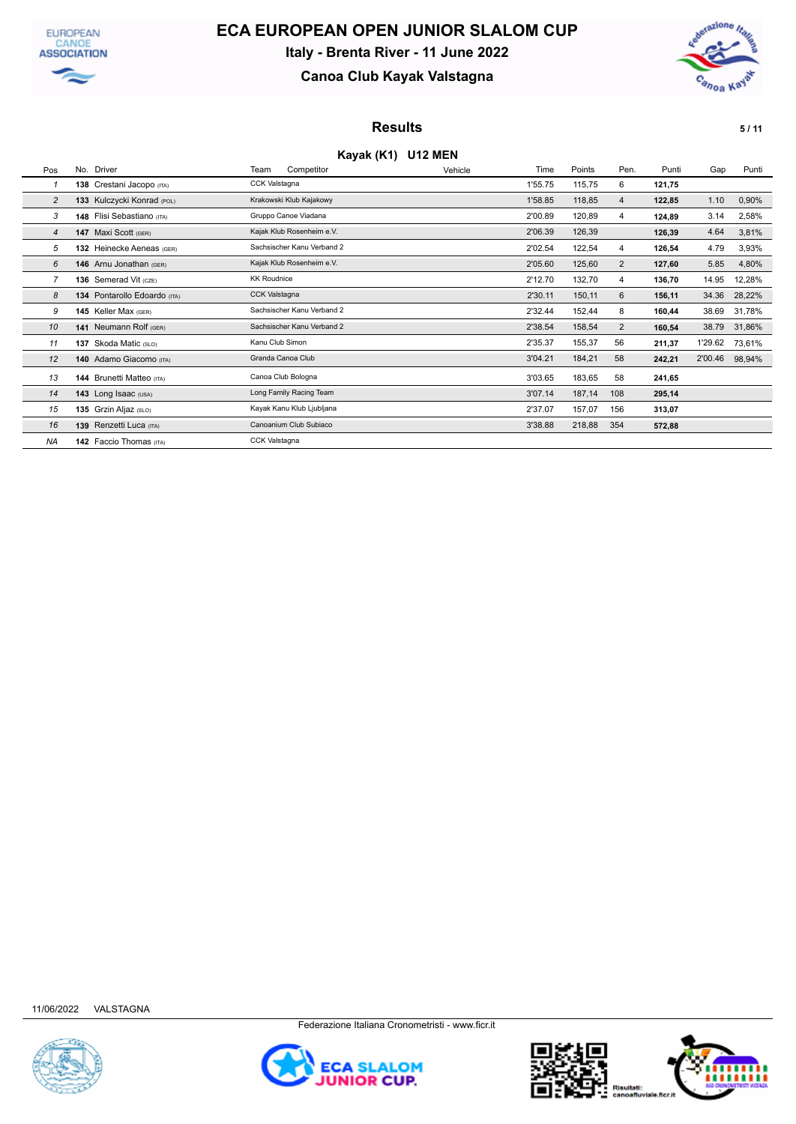



## **Canoa Club Kayak Valstagna**



### **Results 5/11**

#### **Kayak (K1) U12 MEN**

| Pos            | No. Driver                   | Team<br>Competitor         | Vehicle | Time    | Points | Pen.           | Punti  | Gap     | Punti  |
|----------------|------------------------------|----------------------------|---------|---------|--------|----------------|--------|---------|--------|
|                | 138 Crestani Jacopo (ITA)    | CCK Valstagna              |         | 1'55.75 | 115,75 | 6              | 121,75 |         |        |
| $\overline{2}$ | 133 Kulczycki Konrad (POL)   | Krakowski Klub Kajakowy    |         | 1'58.85 | 118,85 | $\overline{4}$ | 122,85 | 1.10    | 0,90%  |
| 3              | 148 Flisi Sebastiano (ITA)   | Gruppo Canoe Viadana       |         | 2'00.89 | 120,89 | 4              | 124,89 | 3.14    | 2,58%  |
| $\overline{4}$ | 147 Maxi Scott (GER)         | Kajak Klub Rosenheim e.V.  |         | 2'06.39 | 126,39 |                | 126,39 | 4.64    | 3,81%  |
| 5              | 132 Heinecke Aeneas (GER)    | Sachsischer Kanu Verband 2 |         | 2'02.54 | 122,54 | 4              | 126,54 | 4.79    | 3,93%  |
| 6              | 146 Arnu Jonathan (GER)      | Kajak Klub Rosenheim e.V.  |         | 2'05.60 | 125,60 | $\overline{2}$ | 127,60 | 5.85    | 4,80%  |
|                | 136 Semerad Vit (CZE)        | <b>KK Roudnice</b>         |         | 2'12.70 | 132,70 | 4              | 136,70 | 14.95   | 12,28% |
| 8              | 134 Pontarollo Edoardo (ITA) | <b>CCK Valstagna</b>       |         | 2'30.11 | 150,11 | 6              | 156,11 | 34.36   | 28,22% |
| 9              | 145 Keller Max (GER)         | Sachsischer Kanu Verband 2 |         | 2'32.44 | 152,44 | 8              | 160,44 | 38.69   | 31,78% |
| 10             | 141 Neumann Rolf (GER)       | Sachsischer Kanu Verband 2 |         | 2'38.54 | 158,54 | $\overline{2}$ | 160,54 | 38.79   | 31,86% |
| 11             | 137 Skoda Matic (SLO)        | Kanu Club Simon            |         | 2'35.37 | 155,37 | 56             | 211,37 | 1'29.62 | 73,61% |
| 12             | 140 Adamo Giacomo (ITA)      | Granda Canoa Club          |         | 3'04.21 | 184,21 | 58             | 242,21 | 2'00.46 | 98,94% |
| 13             | 144 Brunetti Matteo (ITA)    | Canoa Club Bologna         |         | 3'03.65 | 183,65 | 58             | 241,65 |         |        |
| 14             | 143 Long Isaac (USA)         | Long Family Racing Team    |         | 3'07.14 | 187,14 | 108            | 295,14 |         |        |
| 15             | 135 Grzin Aljaz (SLO)        | Kayak Kanu Klub Ljubljana  |         | 2'37.07 | 157,07 | 156            | 313,07 |         |        |
| 16             | 139 Renzetti Luca (ITA)      | Canoanium Club Subiaco     |         | 3'38.88 | 218,88 | 354            | 572,88 |         |        |
| <b>NA</b>      | 142 Faccio Thomas (ITA)      | <b>CCK Valstagna</b>       |         |         |        |                |        |         |        |





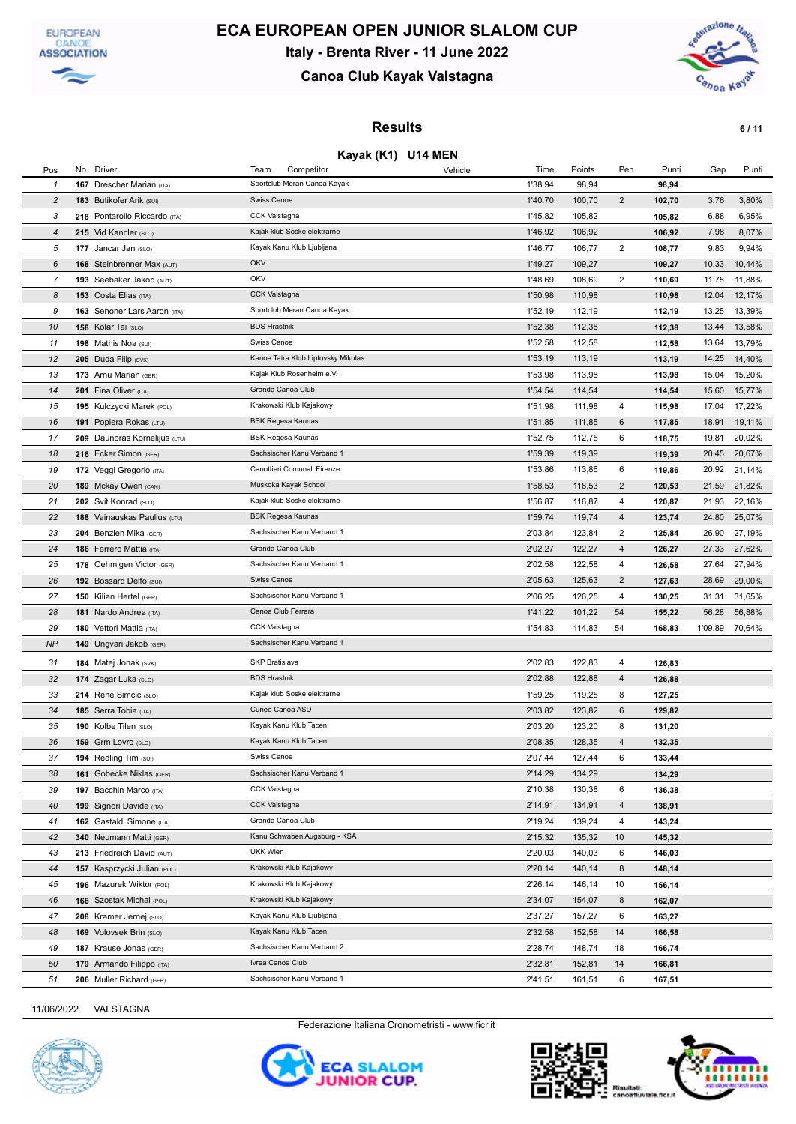



## **Canoa Club Kayak Valstagna**



### **Results 6 / 11**

#### **Kayak (K1) U14 MEN**

| Pos            | No. Driver                      | Team<br>Competitor                 | Vehicle | Time    | Points | Pen.                    | Punti  | Gap     | Punti  |
|----------------|---------------------------------|------------------------------------|---------|---------|--------|-------------------------|--------|---------|--------|
| 1              | 167 Drescher Marian (ITA)       | Sportclub Meran Canoa Kayak        |         | 1'38.94 | 98,94  |                         | 98,94  |         |        |
| $\overline{c}$ | 183 Butikofer Arik (SUI)        | Swiss Canoe                        |         | 1'40.70 | 100,70 | $\overline{\mathbf{c}}$ | 102,70 | 3.76    | 3,80%  |
| 3              | 218 Pontarollo Riccardo (ITA)   | CCK Valstagna                      |         | 1'45.82 | 105,82 |                         | 105,82 | 6.88    | 6,95%  |
| $\overline{4}$ | 215 Vid Kancler (SLO)           | Kajak klub Soske elektrarne        |         | 1'46.92 | 106,92 |                         | 106,92 | 7.98    | 8,07%  |
| 5              | 177 Jancar Jan (SLO)            | Kayak Kanu Klub Ljubljana          |         | 1'46.77 | 106,77 | $\overline{2}$          | 108,77 | 9.83    | 9,94%  |
| 6              | 168 Steinbrenner Max (AUT)      | OKV                                |         | 1'49.27 | 109,27 |                         | 109,27 | 10.33   | 10,44% |
| $\overline{7}$ | 193 Seebaker Jakob (AUT)        | OKV                                |         | 1'48.69 | 108,69 | $\overline{2}$          | 110,69 | 11.75   | 11,88% |
| 8              | 153 Costa Elias (ITA)           | CCK Valstagna                      |         | 1'50.98 | 110,98 |                         | 110,98 | 12.04   | 12,17% |
| 9              | 163 Senoner Lars Aaron (ITA)    | Sportclub Meran Canoa Kayak        |         | 1'52.19 | 112,19 |                         | 112,19 | 13.25   | 13,39% |
| 10             | 158 Kolar Tai (SLO)             | <b>BDS Hrastnik</b>                |         | 1'52.38 | 112,38 |                         | 112,38 | 13.44   | 13,58% |
| 11             | 198 Mathis Noa (SUI)            | Swiss Canoe                        |         | 1'52.58 | 112,58 |                         | 112,58 | 13.64   | 13,79% |
| 12             | 205 Duda Filip (SVK)            | Kanoe Tatra Klub Liptovsky Mikulas |         | 1'53.19 | 113,19 |                         | 113,19 | 14.25   | 14,40% |
| 13             | 173 Arnu Marian (GER)           | Kajak Klub Rosenheim e.V.          |         | 1'53.98 | 113,98 |                         | 113,98 | 15.04   | 15,20% |
| 14             | 201 Fina Oliver (ITA)           | Granda Canoa Club                  |         | 1'54.54 | 114,54 |                         | 114,54 | 15.60   | 15,77% |
| 15             | 195 Kulczycki Marek (POL)       | Krakowski Klub Kajakowy            |         | 1'51.98 | 111,98 | 4                       | 115,98 | 17.04   | 17,22% |
| 16             | 191 Popiera Rokas (LTU)         | <b>BSK Regesa Kaunas</b>           |         | 1'51.85 | 111,85 | 6                       | 117,85 | 18.91   | 19,11% |
| 17             | 209 Daunoras Kornelijus (LTU)   | BSK Regesa Kaunas                  |         | 1'52.75 | 112,75 | 6                       | 118,75 | 19.81   | 20,02% |
| 18             | 216 Ecker Simon (GER)           | Sachsischer Kanu Verband 1         |         | 1'59.39 | 119,39 |                         | 119,39 | 20.45   | 20,67% |
| 19             | 172 Veggi Gregorio (ITA)        | Canottieri Comunali Firenze        |         | 1'53.86 | 113,86 | 6                       | 119,86 | 20.92   | 21,14% |
| 20             | 189 Mckay Owen (CAN)            | Muskoka Kayak School               |         | 1'58.53 | 118,53 | $\overline{2}$          | 120,53 | 21.59   | 21,82% |
| 21             | 202 Svit Konrad (SLO)           | Kajak klub Soske elektrarne        |         | 1'56.87 | 116,87 | 4                       | 120,87 | 21.93   | 22,16% |
| 22             | 188 Vainauskas Paulius (LTU)    | BSK Regesa Kaunas                  |         | 1'59.74 | 119,74 | 4                       | 123,74 | 24.80   | 25,07% |
| 23             | 204 Benzien Mika (GER)          | Sachsischer Kanu Verband 1         |         | 2'03.84 | 123,84 | $\overline{2}$          | 125,84 | 26.90   | 27,19% |
| 24             | 186 Ferrero Mattia (ITA)        | Granda Canoa Club                  |         | 2'02.27 | 122,27 | 4                       | 126,27 | 27.33   | 27,62% |
| 25             | 178 Oehmigen Victor (GER)       | Sachsischer Kanu Verband 1         |         | 2'02.58 | 122,58 | 4                       | 126,58 | 27.64   | 27,94% |
| 26             | 192 Bossard Delfo (SUI)         | Swiss Canoe                        |         | 2'05.63 | 125,63 | 2                       | 127,63 | 28.69   | 29,00% |
| 27             | 150 Kilian Hertel (GER)         | Sachsischer Kanu Verband 1         |         | 2'06.25 | 126,25 | 4                       | 130,25 | 31.31   | 31,65% |
| 28             | 181 Nardo Andrea (ITA)          | Canoa Club Ferrara                 |         | 1'41.22 | 101,22 | 54                      | 155,22 | 56.28   | 56,88% |
| 29             | 180 Vettori Mattia (ITA)        | <b>CCK Valstagna</b>               |         | 1'54.83 | 114,83 | 54                      | 168,83 | 1'09.89 | 70,64% |
| <b>NP</b>      | 149 Ungvari Jakob (GER)         | Sachsischer Kanu Verband 1         |         |         |        |                         |        |         |        |
| 31             | 184 Matej Jonak (SVK)           | SKP Bratislava                     |         | 2'02.83 | 122,83 | 4                       | 126,83 |         |        |
| 32             | 174 Zagar Luka (SLO)            | <b>BDS Hrastnik</b>                |         | 2'02.88 | 122,88 | $\overline{4}$          | 126,88 |         |        |
| 33             | 214 Rene Simcic (SLO)           | Kajak klub Soske elektrarne        |         | 1'59.25 | 119,25 | 8                       | 127,25 |         |        |
| 34             | 185 Serra Tobia (ITA)           | Cuneo Canoa ASD                    |         | 2'03.82 | 123,82 | 6                       | 129,82 |         |        |
| 35             | 190 Kolbe Tilen (SLO)           | Kayak Kanu Klub Tacen              |         | 2'03.20 | 123,20 | 8                       | 131,20 |         |        |
| 36             | 159 Grm Lovro (SLO)             | Kayak Kanu Klub Tacen              |         | 2'08.35 | 128,35 | $\overline{4}$          | 132,35 |         |        |
| 37             | 194 Redling Tim (SUI)           | Swiss Canoe                        |         | 2'07.44 | 127,44 | 6                       | 133,44 |         |        |
| 38             | <b>161</b> Gobecke Niklas (GER) | Sachsischer Kanu Verband 1         |         | 2'14.29 | 134,29 |                         | 134,29 |         |        |
| 39             | 197 Bacchin Marco (ITA)         | CCK Valstagna                      |         | 2'10.38 | 130,38 | 6                       | 136,38 |         |        |
| 40             | 199 Signori Davide (ITA)        | CCK Valstagna                      |         | 2'14.91 | 134,91 | $\overline{4}$          | 138,91 |         |        |
| 41             | 162 Gastaldi Simone (ITA)       | Granda Canoa Club                  |         | 2'19.24 | 139,24 | 4                       | 143,24 |         |        |
| 42             | 340 Neumann Matti (GER)         | Kanu Schwaben Augsburg - KSA       |         | 2'15.32 | 135,32 | 10                      | 145,32 |         |        |
| 43             | 213 Friedreich David (AUT)      | <b>UKK Wien</b>                    |         | 2'20.03 | 140,03 | 6                       | 146,03 |         |        |
| 44             | 157 Kasprzycki Julian (POL)     | Krakowski Klub Kajakowy            |         | 2'20.14 | 140,14 | 8                       | 148,14 |         |        |
| 45             | 196 Mazurek Wiktor (POL)        | Krakowski Klub Kajakowy            |         | 2'26.14 | 146,14 | 10                      | 156,14 |         |        |
| 46             | 166 Szostak Michal (POL)        | Krakowski Klub Kajakowy            |         | 2'34.07 | 154,07 | 8                       | 162,07 |         |        |
| 47             | 208 Kramer Jernej (SLO)         | Kayak Kanu Klub Ljubljana          |         | 2'37.27 | 157,27 | 6                       | 163,27 |         |        |
| 48             | 169 Volovsek Brin (SLO)         | Kayak Kanu Klub Tacen              |         | 2'32.58 | 152,58 | 14                      | 166,58 |         |        |
| 49             | <b>187 Krause Jonas (GER)</b>   | Sachsischer Kanu Verband 2         |         | 2'28.74 | 148,74 | 18                      | 166,74 |         |        |
| 50             | 179 Armando Filippo (ITA)       | Ivrea Canoa Club                   |         | 2'32.81 | 152,81 | 14                      | 166,81 |         |        |
| 51             | 206 Muller Richard (GER)        | Sachsischer Kanu Verband 1         |         | 2'41.51 | 161,51 | 6                       | 167,51 |         |        |
|                |                                 |                                    |         |         |        |                         |        |         |        |

11/06/2022 VALSTAGNA



Federazione Italiana Cronometristi - www.ficr.it



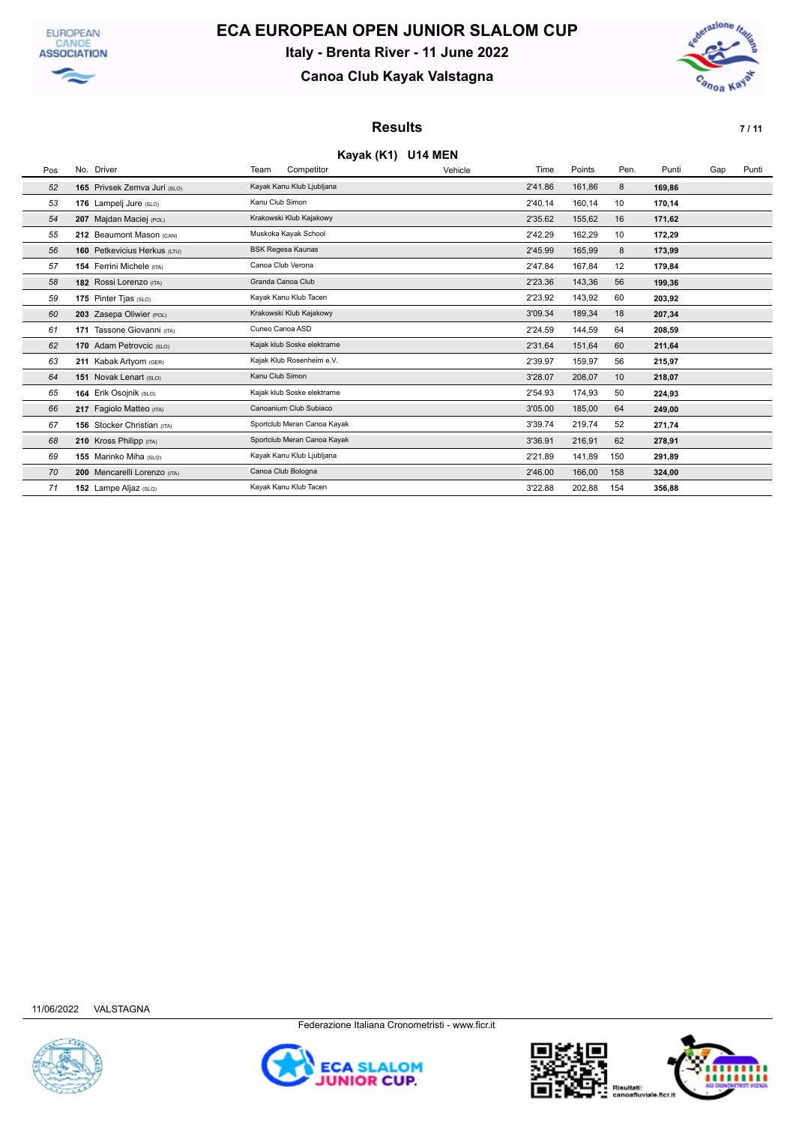



## **Canoa Club Kayak Valstagna**



### **Results 7 / 11**

#### **Kayak (K1) U14 MEN**

| Pos | No. Driver                         | Team              | Competitor                  | Vehicle | Time    | Points | Pen. | Punti  | Gap | Punti |
|-----|------------------------------------|-------------------|-----------------------------|---------|---------|--------|------|--------|-----|-------|
| 52  | 165 Privsek Zemva Juri (SLO)       |                   | Kayak Kanu Klub Ljubljana   |         | 2'41.86 | 161,86 | 8    | 169,86 |     |       |
| 53  | 176 Lampelj Jure (SLO)             | Kanu Club Simon   |                             |         | 2'40.14 | 160,14 | 10   | 170.14 |     |       |
| 54  | 207 Majdan Maciej (POL)            |                   | Krakowski Klub Kajakowy     |         | 2'35.62 | 155,62 | 16   | 171,62 |     |       |
| 55  | 212 Beaumont Mason (CAN)           |                   | Muskoka Kayak School        |         | 2'42.29 | 162,29 | 10   | 172,29 |     |       |
| 56  | 160 Petkevicius Herkus (LTU)       |                   | <b>BSK Regesa Kaunas</b>    |         | 2'45.99 | 165,99 | 8    | 173,99 |     |       |
| 57  | <b>154 Ferrini Michele (ITA)</b>   | Canoa Club Verona |                             |         | 2'47.84 | 167,84 | 12   | 179,84 |     |       |
| 58  | 182 Rossi Lorenzo (ITA)            | Granda Canoa Club |                             |         | 2'23.36 | 143,36 | 56   | 199,36 |     |       |
| 59  | 175 Pinter Tjas (SLO)              |                   | Kayak Kanu Klub Tacen       |         | 2'23.92 | 143,92 | 60   | 203,92 |     |       |
| 60  | 203 Zasepa Oliwier (POL)           |                   | Krakowski Klub Kajakowy     |         | 3'09.34 | 189,34 | 18   | 207,34 |     |       |
| 61  | 171 Tassone Giovanni (ITA)         | Cuneo Canoa ASD   |                             |         | 2'24.59 | 144,59 | 64   | 208,59 |     |       |
| 62  | 170 Adam Petrovcic (SLO)           |                   | Kajak klub Soske elektrarne |         | 2'31.64 | 151,64 | 60   | 211,64 |     |       |
| 63  | 211 Kabak Artyom (GER)             |                   | Kajak Klub Rosenheim e.V.   |         | 2'39.97 | 159,97 | 56   | 215,97 |     |       |
| 64  | 151 Novak Lenart (SLO)             | Kanu Club Simon   |                             |         | 3'28.07 | 208,07 | 10   | 218,07 |     |       |
| 65  | 164 Erik Osojnik (SLO)             |                   | Kajak klub Soske elektrarne |         | 2'54.93 | 174,93 | 50   | 224,93 |     |       |
| 66  | 217 Faqiolo Matteo (ITA)           |                   | Canoanium Club Subiaco      |         | 3'05.00 | 185,00 | 64   | 249,00 |     |       |
| 67  | <b>156</b> Stocker Christian (ITA) |                   | Sportclub Meran Canoa Kayak |         | 3'39.74 | 219,74 | 52   | 271,74 |     |       |
| 68  | 210 Kross Philipp (ITA)            |                   | Sportclub Meran Canoa Kayak |         | 3'36.91 | 216,91 | 62   | 278,91 |     |       |
| 69  | 155 Marinko Miha (SLO)             |                   | Kayak Kanu Klub Ljubljana   |         | 2'21.89 | 141,89 | 150  | 291,89 |     |       |
| 70  | 200 Mencarelli Lorenzo (ITA)       |                   | Canoa Club Bologna          |         | 2'46.00 | 166,00 | 158  | 324,00 |     |       |
| 71  | 152 Lampe Aljaz (SLO)              |                   | Kayak Kanu Klub Tacen       |         | 3'22.88 | 202,88 | 154  | 356,88 |     |       |





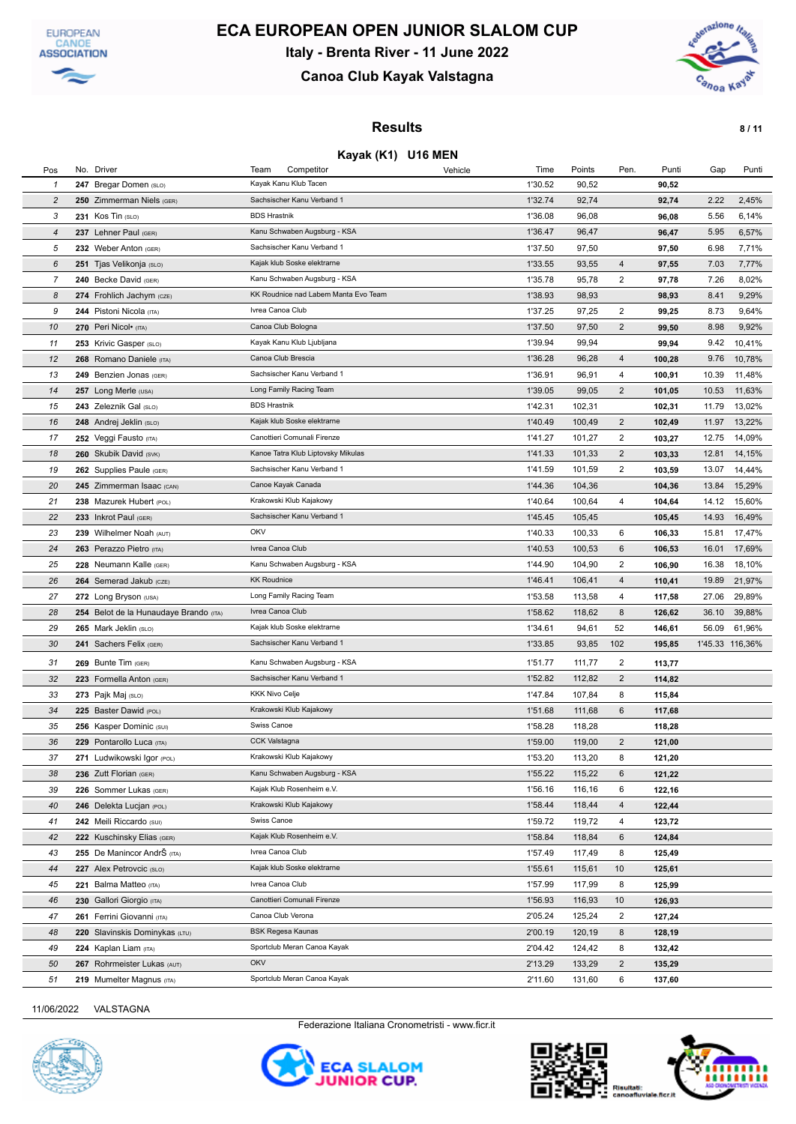



## **Canoa Club Kayak Valstagna**



### **Results 8/11**

#### **Kayak (K1) U16 MEN**

| Pos            | No. Driver                             | Team<br>Competitor<br>Vehicle        | Time    | Points | Pen.                    | Punti  | Gap             | Punti  |
|----------------|----------------------------------------|--------------------------------------|---------|--------|-------------------------|--------|-----------------|--------|
| 1              | 247 Bregar Domen (SLO)                 | Kayak Kanu Klub Tacen                | 1'30.52 | 90,52  |                         | 90,52  |                 |        |
| $\overline{c}$ | 250 Zimmerman Niels (GER)              | Sachsischer Kanu Verband 1           | 1'32.74 | 92,74  |                         | 92,74  | 2.22            | 2,45%  |
| 3              | 231 Kos Tin (SLO)                      | <b>BDS Hrastnik</b>                  | 1'36.08 | 96,08  |                         | 96,08  | 5.56            | 6,14%  |
| $\overline{4}$ | 237 Lehner Paul (GER)                  | Kanu Schwaben Augsburg - KSA         | 1'36.47 | 96,47  |                         | 96,47  | 5.95            | 6,57%  |
| 5              | 232 Weber Anton (GER)                  | Sachsischer Kanu Verband 1           | 1'37.50 | 97,50  |                         | 97,50  | 6.98            | 7,71%  |
| 6              | 251 Tjas Velikonja (SLO)               | Kajak klub Soske elektrarne          | 1'33.55 | 93,55  | 4                       | 97,55  | 7.03            | 7,77%  |
| 7              | 240 Becke David (GER)                  | Kanu Schwaben Augsburg - KSA         | 1'35.78 | 95,78  | $\overline{2}$          | 97,78  | 7.26            | 8,02%  |
| 8              | 274 Frohlich Jachym (CZE)              | KK Roudnice nad Labem Manta Evo Team | 1'38.93 | 98,93  |                         | 98,93  | 8.41            | 9,29%  |
| 9              | 244 Pistoni Nicola (ITA)               | Ivrea Canoa Club                     | 1'37.25 | 97,25  | $\overline{2}$          | 99,25  | 8.73            | 9,64%  |
| 10             | 270 Peri Nicol• (ITA)                  | Canoa Club Bologna                   | 1'37.50 | 97,50  | $\overline{2}$          | 99,50  | 8.98            | 9,92%  |
| 11             | 253 Krivic Gasper (SLO)                | Kayak Kanu Klub Ljubljana            | 1'39.94 | 99,94  |                         | 99,94  | 9.42            | 10,41% |
| 12             | 268 Romano Daniele (ITA)               | Canoa Club Brescia                   | 1'36.28 | 96,28  | $\overline{4}$          | 100,28 | 9.76            | 10,78% |
| 13             | 249 Benzien Jonas (GER)                | Sachsischer Kanu Verband 1           | 1'36.91 | 96,91  | 4                       | 100,91 | 10.39           | 11,48% |
| 14             | 257 Long Merle (USA)                   | Long Family Racing Team              | 1'39.05 | 99,05  | $\overline{2}$          | 101,05 | 10.53           | 11,63% |
| 15             | 243 Zeleznik Gal (SLO)                 | <b>BDS Hrastnik</b>                  | 1'42.31 | 102,31 |                         | 102,31 | 11.79           | 13,02% |
| 16             | 248 Andrej Jeklin (SLO)                | Kajak klub Soske elektrarne          | 1'40.49 | 100,49 | $\overline{2}$          | 102,49 | 11.97           | 13,22% |
| 17             | 252 Veggi Fausto (ITA)                 | Canottieri Comunali Firenze          | 1'41.27 | 101,27 | $\overline{2}$          | 103,27 | 12.75           | 14,09% |
| 18             | 260 Skubik David (SVK)                 | Kanoe Tatra Klub Liptovsky Mikulas   | 1'41.33 | 101,33 | $\overline{2}$          | 103,33 | 12.81           | 14,15% |
| 19             | 262 Supplies Paule (GER)               | Sachsischer Kanu Verband 1           | 1'41.59 | 101,59 | $\overline{2}$          | 103,59 | 13.07           | 14,44% |
| 20             | 245 Zimmerman Isaac (CAN)              | Canoe Kayak Canada                   | 1'44.36 | 104,36 |                         | 104,36 | 13.84           | 15,29% |
| 21             | 238 Mazurek Hubert (POL)               | Krakowski Klub Kajakowy              | 1'40.64 | 100,64 | 4                       | 104,64 | 14.12           | 15,60% |
| 22             | 233 Inkrot Paul (GER)                  | Sachsischer Kanu Verband 1           | 1'45.45 | 105,45 |                         | 105,45 | 14.93           | 16,49% |
| 23             | 239 Wilhelmer Noah (AUT)               | OKV                                  | 1'40.33 | 100,33 | 6                       | 106,33 | 15.81           | 17,47% |
| 24             | 263 Perazzo Pietro (ITA)               | Ivrea Canoa Club                     | 1'40.53 | 100,53 | 6                       | 106,53 | 16.01           | 17,69% |
| 25             | 228 Neumann Kalle (GER)                | Kanu Schwaben Augsburg - KSA         | 1'44.90 | 104,90 | $\overline{2}$          | 106,90 | 16.38           | 18,10% |
| 26             | 264 Semerad Jakub (CZE)                | <b>KK Roudnice</b>                   | 1'46.41 | 106,41 | 4                       | 110,41 | 19.89           | 21,97% |
| 27             | 272 Long Bryson (USA)                  | Long Family Racing Team              | 1'53.58 | 113,58 | 4                       | 117,58 | 27.06           | 29,89% |
| 28             | 254 Belot de la Hunaudaye Brando (ITA) | Ivrea Canoa Club                     | 1'58.62 | 118,62 | 8                       | 126,62 | 36.10           | 39,88% |
| 29             | 265 Mark Jeklin (SLO)                  | Kajak klub Soske elektrarne          | 1'34.61 | 94,61  | 52                      | 146,61 | 56.09           | 61,96% |
| 30             | 241 Sachers Felix (GER)                | Sachsischer Kanu Verband 1           | 1'33.85 | 93,85  | 102                     | 195,85 | 1'45.33 116,36% |        |
| 31             | 269 Bunte Tim (GER)                    | Kanu Schwaben Augsburg - KSA         | 1'51.77 | 111,77 | $\overline{\mathbf{c}}$ | 113,77 |                 |        |
| 32             | 223 Formella Anton (GER)               | Sachsischer Kanu Verband 1           | 1'52.82 | 112,82 | $\overline{2}$          | 114,82 |                 |        |
| 33             | 273 Pajk Maj (SLO)                     | <b>KKK Nivo Celje</b>                | 1'47.84 | 107,84 | 8                       | 115,84 |                 |        |
| 34             | 225 Baster Dawid (POL)                 | Krakowski Klub Kajakowy              | 1'51.68 | 111,68 | 6                       | 117,68 |                 |        |
| 35             | 256 Kasper Dominic (SUI)               | Swiss Canoe                          | 1'58.28 | 118,28 |                         | 118,28 |                 |        |
| 36             | 229 Pontarollo Luca (ITA)              | <b>CCK Valstagna</b>                 | 1'59.00 | 119,00 | $\overline{c}$          | 121,00 |                 |        |
| 37             | 271 Ludwikowski Igor (POL)             | Krakowski Klub Kajakowy              | 1'53.20 | 113,20 | 8                       | 121,20 |                 |        |
| 38             | 236 Zutt Florian (GER)                 | Kanu Schwaben Augsburg - KSA         | 1'55.22 | 115,22 | 6                       | 121,22 |                 |        |
| 39             | 226 Sommer Lukas (GER)                 | Kajak Klub Rosenheim e.V.            | 1'56.16 | 116,16 | 6                       | 122,16 |                 |        |
| 40             | 246 Delekta Lucjan (POL)               | Krakowski Klub Kajakowy              | 1'58.44 | 118,44 | 4                       | 122,44 |                 |        |
| 41             | 242 Meili Riccardo (SUI)               | Swiss Canoe                          | 1'59.72 | 119,72 | 4                       | 123,72 |                 |        |
| 42             | 222 Kuschinsky Elias (GER)             | Kajak Klub Rosenheim e.V.            | 1'58.84 | 118,84 | 6                       | 124,84 |                 |        |
| 43             | 255 De Manincor AndrŠ (ITA)            | Ivrea Canoa Club                     | 1'57.49 | 117,49 | 8                       | 125,49 |                 |        |
| 44             | 227 Alex Petrovcic (SLO)               | Kajak klub Soske elektrarne          | 1'55.61 | 115,61 | 10                      | 125,61 |                 |        |
| 45             | 221 Balma Matteo (ITA)                 | Ivrea Canoa Club                     | 1'57.99 | 117,99 | 8                       | 125,99 |                 |        |
| 46             | 230 Gallori Giorgio (ITA)              | Canottieri Comunali Firenze          | 1'56.93 | 116,93 | 10                      | 126,93 |                 |        |
| 47             | 261 Ferrini Giovanni (ITA)             | Canoa Club Verona                    | 2'05.24 | 125,24 | 2                       | 127,24 |                 |        |
| 48             | 220 Slavinskis Dominykas (LTU)         | BSK Regesa Kaunas                    | 2'00.19 | 120,19 | 8                       | 128,19 |                 |        |
| 49             | 224 Kaplan Liam (ITA)                  | Sportclub Meran Canoa Kayak          | 2'04.42 | 124,42 | 8                       | 132,42 |                 |        |
| 50             | 267 Rohrmeister Lukas (AUT)            | OKV                                  | 2'13.29 | 133,29 | $\overline{a}$          | 135,29 |                 |        |
| 51             | 219 Mumelter Magnus (ITA)              | Sportclub Meran Canoa Kayak          | 2'11.60 | 131,60 | 6                       | 137,60 |                 |        |







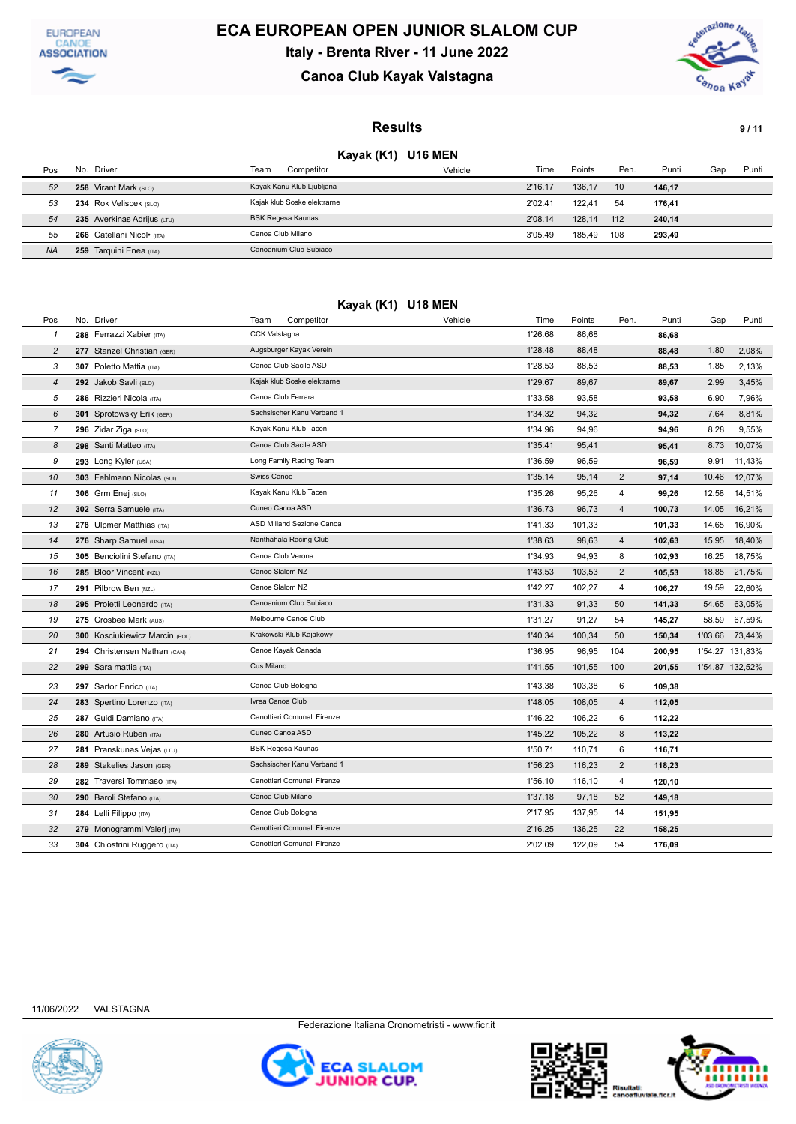



## **Canoa Club Kayak Valstagna**



#### **Results 9/11**

### **Kayak (K1) U16 MEN**

| Pos       | No. Driver                  | Competitor<br>Team          | Vehicle | Time    | Points | Pen. | Punti  | Gap | Punti |
|-----------|-----------------------------|-----------------------------|---------|---------|--------|------|--------|-----|-------|
| 52        | 258 Virant Mark (SLO)       | Kayak Kanu Klub Ljubljana   |         | 2'16.17 | 136.17 | 10   | 146,17 |     |       |
| 53        | 234 Rok Veliscek (SLO)      | Kajak klub Soske elektrarne |         | 2'02.41 | 122.41 | 54   | 176.41 |     |       |
| 54        | 235 Averkinas Adrijus (LTU) | BSK Regesa Kaunas           |         | 2'08.14 | 128.14 | 112  | 240.14 |     |       |
| 55        | 266 Catellani Nicol• (ITA)  | Canoa Club Milano           |         | 3'05.49 | 185.49 | 108  | 293.49 |     |       |
| <b>NA</b> | Tarquini Enea (ITA)<br>259  | Canoanium Club Subiaco      |         |         |        |      |        |     |       |

| Kayak (K1) U18 MEN |                                |                             |         |         |        |                |        |         |                 |  |  |
|--------------------|--------------------------------|-----------------------------|---------|---------|--------|----------------|--------|---------|-----------------|--|--|
| Pos                | No. Driver                     | Competitor<br>Team          | Vehicle | Time    | Points | Pen.           | Punti  | Gap     | Punti           |  |  |
| $\mathbf{1}$       | 288 Ferrazzi Xabier (ITA)      | CCK Valstagna               |         | 1'26.68 | 86,68  |                | 86,68  |         |                 |  |  |
| $\overline{c}$     | 277 Stanzel Christian (GER)    | Augsburger Kayak Verein     |         | 1'28.48 | 88,48  |                | 88,48  | 1.80    | 2,08%           |  |  |
| 3                  | 307 Poletto Mattia (ITA)       | Canoa Club Sacile ASD       |         | 1'28.53 | 88,53  |                | 88,53  | 1.85    | 2,13%           |  |  |
| $\overline{4}$     | 292 Jakob Savli (SLO)          | Kajak klub Soske elektrarne |         | 1'29.67 | 89,67  |                | 89,67  | 2.99    | 3,45%           |  |  |
| 5                  | 286 Rizzieri Nicola (ITA)      | Canoa Club Ferrara          |         | 1'33.58 | 93,58  |                | 93,58  | 6.90    | 7,96%           |  |  |
| 6                  | 301 Sprotowsky Erik (GER)      | Sachsischer Kanu Verband 1  |         | 1'34.32 | 94,32  |                | 94,32  | 7.64    | 8,81%           |  |  |
| $\overline{7}$     | 296 Zidar Ziga (SLO)           | Kayak Kanu Klub Tacen       |         | 1'34.96 | 94,96  |                | 94,96  | 8.28    | 9,55%           |  |  |
| 8                  | 298 Santi Matteo (ITA)         | Canoa Club Sacile ASD       |         | 1'35.41 | 95,41  |                | 95,41  | 8.73    | 10,07%          |  |  |
| 9                  | 293 Long Kyler (USA)           | Long Family Racing Team     |         | 1'36.59 | 96,59  |                | 96,59  | 9.91    | 11,43%          |  |  |
| 10                 | 303 Fehlmann Nicolas (SUI)     | Swiss Canoe                 |         | 1'35.14 | 95,14  | $\overline{2}$ | 97,14  | 10.46   | 12,07%          |  |  |
| 11                 | 306 Grm Enej (SLO)             | Kayak Kanu Klub Tacen       |         | 1'35.26 | 95,26  | 4              | 99,26  | 12.58   | 14,51%          |  |  |
| 12                 | 302 Serra Samuele (ITA)        | Cuneo Canoa ASD             |         | 1'36.73 | 96,73  | $\overline{4}$ | 100,73 | 14.05   | 16,21%          |  |  |
| 13                 | 278 Ulpmer Matthias (ITA)      | ASD Milland Sezione Canoa   |         | 1'41.33 | 101,33 |                | 101,33 | 14.65   | 16,90%          |  |  |
| 14                 | 276 Sharp Samuel (USA)         | Nanthahala Racing Club      |         | 1'38.63 | 98,63  | $\overline{4}$ | 102,63 | 15.95   | 18,40%          |  |  |
| 15                 | 305 Benciolini Stefano (ITA)   | Canoa Club Verona           |         | 1'34.93 | 94,93  | 8              | 102,93 | 16.25   | 18,75%          |  |  |
| 16                 | 285 Bloor Vincent (NZL)        | Canoe Slalom NZ             |         | 1'43.53 | 103,53 | $\overline{2}$ | 105,53 | 18.85   | 21,75%          |  |  |
| 17                 | 291 Pilbrow Ben (NZL)          | Canoe Slalom NZ             |         | 1'42.27 | 102,27 | $\overline{4}$ | 106,27 | 19.59   | 22,60%          |  |  |
| 18                 | 295 Proietti Leonardo (ITA)    | Canoanium Club Subiaco      |         | 1'31.33 | 91,33  | 50             | 141,33 | 54.65   | 63,05%          |  |  |
| 19                 | 275 Crosbee Mark (AUS)         | Melbourne Canoe Club        |         | 1'31.27 | 91,27  | 54             | 145,27 | 58.59   | 67,59%          |  |  |
| 20                 | 300 Kosciukiewicz Marcin (POL) | Krakowski Klub Kajakowy     |         | 1'40.34 | 100,34 | 50             | 150,34 | 1'03.66 | 73,44%          |  |  |
| 21                 | 294 Christensen Nathan (CAN)   | Canoe Kayak Canada          |         | 1'36.95 | 96,95  | 104            | 200,95 |         | 1'54.27 131,83% |  |  |
| 22                 | 299 Sara mattia (ITA)          | Cus Milano                  |         | 1'41.55 | 101,55 | 100            | 201,55 |         | 1'54.87 132,52% |  |  |
| 23                 | 297 Sartor Enrico (ITA)        | Canoa Club Bologna          |         | 1'43.38 | 103,38 | 6              | 109,38 |         |                 |  |  |
| 24                 | 283 Spertino Lorenzo (ITA)     | Ivrea Canoa Club            |         | 1'48.05 | 108,05 | $\overline{4}$ | 112,05 |         |                 |  |  |
| 25                 | 287 Guidi Damiano (ITA)        | Canottieri Comunali Firenze |         | 1'46.22 | 106,22 | 6              | 112,22 |         |                 |  |  |
| 26                 | 280 Artusio Ruben (ITA)        | Cuneo Canoa ASD             |         | 1'45.22 | 105,22 | 8              | 113,22 |         |                 |  |  |
| 27                 | 281 Pranskunas Vejas (LTU)     | <b>BSK Regesa Kaunas</b>    |         | 1'50.71 | 110,71 | 6              | 116,71 |         |                 |  |  |
| 28                 | 289 Stakelies Jason (GER)      | Sachsischer Kanu Verband 1  |         | 1'56.23 | 116,23 | $\overline{2}$ | 118,23 |         |                 |  |  |
| 29                 | 282 Traversi Tommaso (ITA)     | Canottieri Comunali Firenze |         | 1'56.10 | 116,10 | 4              | 120,10 |         |                 |  |  |
| 30                 | 290 Baroli Stefano (ITA)       | Canoa Club Milano           |         | 1'37.18 | 97,18  | 52             | 149,18 |         |                 |  |  |
| 31                 | 284 Lelli Filippo (ITA)        | Canoa Club Bologna          |         | 2'17.95 | 137,95 | 14             | 151,95 |         |                 |  |  |
| 32                 | 279 Monogrammi Valerj (ITA)    | Canottieri Comunali Firenze |         | 2'16.25 | 136,25 | 22             | 158,25 |         |                 |  |  |
| 33                 | 304 Chiostrini Ruggero (ITA)   | Canottieri Comunali Firenze |         | 2'02.09 | 122,09 | 54             | 176,09 |         |                 |  |  |
|                    |                                |                             |         |         |        |                |        |         |                 |  |  |





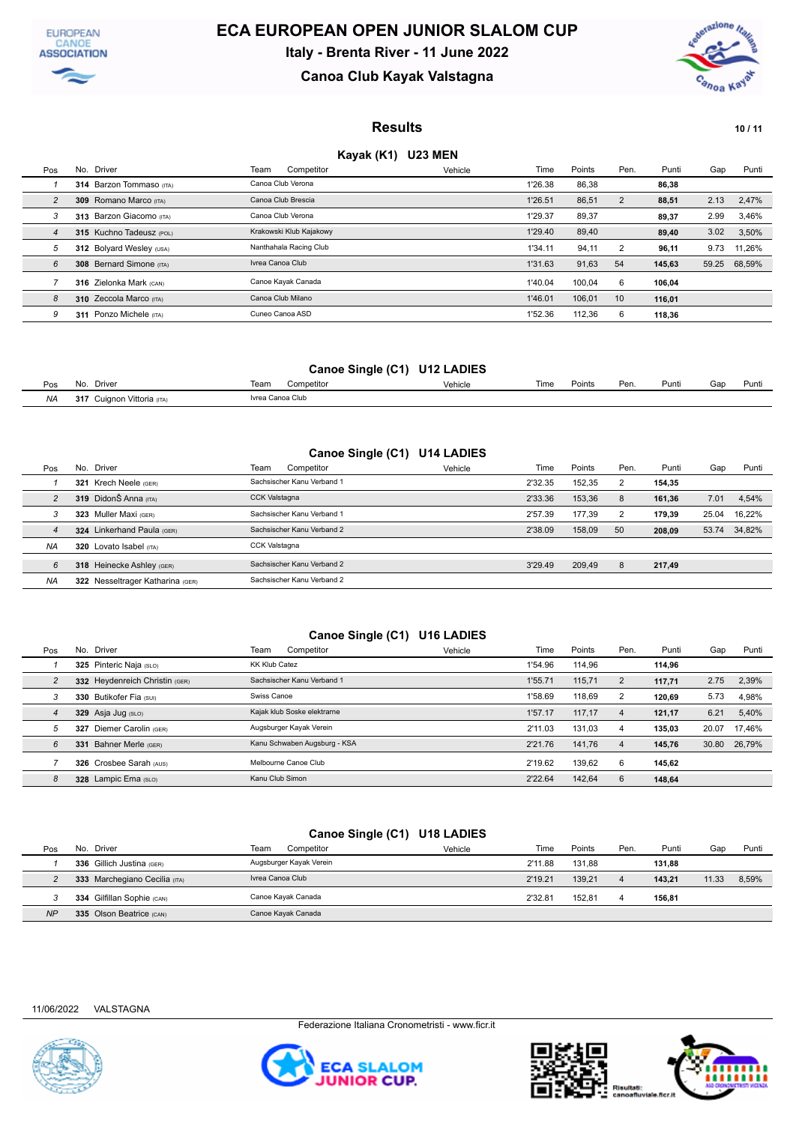



### **Canoa Club Kayak Valstagna**



### **Results 10/11**

### **Kayak (K1) U23 MEN**

| Pos            | No. Driver                 | Team<br>Competitor      | Vehicle | Time    | Points | Pen.           | Punti  | Gap   | Punti  |
|----------------|----------------------------|-------------------------|---------|---------|--------|----------------|--------|-------|--------|
|                | 314 Barzon Tommaso (ITA)   | Canoa Club Verona       |         | 1'26.38 | 86,38  |                | 86,38  |       |        |
| 2              | 309 Romano Marco (ITA)     | Canoa Club Brescia      |         | 1'26.51 | 86,51  | $\overline{2}$ | 88,51  | 2.13  | 2,47%  |
| 3              | 313 Barzon Giacomo (ITA)   | Canoa Club Verona       |         | 1'29.37 | 89,37  |                | 89,37  | 2.99  | 3,46%  |
| $\overline{4}$ | 315 Kuchno Tadeusz (POL)   | Krakowski Klub Kajakowy |         | 1'29.40 | 89,40  |                | 89.40  | 3.02  | 3,50%  |
| 5              | 312 Bolyard Wesley (USA)   | Nanthahala Racing Club  |         | 1'34.11 | 94.11  | 2              | 96.11  | 9.73  | 11.26% |
| 6              | 308 Bernard Simone (ITA)   | Ivrea Canoa Club        |         | 1'31.63 | 91,63  | 54             | 145.63 | 59.25 | 68,59% |
|                | 316 Zielonka Mark (CAN)    | Canoe Kayak Canada      |         | 1'40.04 | 100.04 | 6              | 106.04 |       |        |
| 8              | 310 Zeccola Marco (ITA)    | Canoa Club Milano       |         | 1'46.01 | 106,01 | 10             | 116,01 |       |        |
| 9              | Ponzo Michele (ITA)<br>311 | Cuneo Canoa ASD         |         | 1'52.36 | 112.36 | 6              | 118.36 |       |        |

#### **Canoe Single (C1) U12 LADIES**

| Pos       | Driver<br>No.                         | .<br>Competitor<br>Team | Vehicle | Time | Points | Pen. | Punti | Gap | Punti |
|-----------|---------------------------------------|-------------------------|---------|------|--------|------|-------|-----|-------|
| <b>NA</b> | 247<br>uignon Vittoria (ITA)<br>J I 1 | Ivrea Canoa Club        |         |      |        |      |       |     |       |

### **Canoe Single (C1) U14 LADIES**

| Pos            | Driver<br>No.                    | Team<br>Competitor         | Vehicle | Time    | Points | Pen. | Punti  | Gap   | Punti        |
|----------------|----------------------------------|----------------------------|---------|---------|--------|------|--------|-------|--------------|
|                | 321 Krech Neele (GER)            | Sachsischer Kanu Verband 1 |         | 2'32.35 | 152.35 |      | 154.35 |       |              |
| $\overline{2}$ | 319 DidonŠ Anna (ITA)            | <b>CCK Valstagna</b>       |         | 2'33.36 | 153.36 | 8    | 161.36 | 7.01  | 4,54%        |
| 3              | 323 Muller Maxi (GER)            | Sachsischer Kanu Verband 1 |         | 2'57.39 | 177.39 |      | 179.39 | 25.04 | 16.22%       |
| 4              | 324 Linkerhand Paula (GER)       | Sachsischer Kanu Verband 2 |         | 2'38.09 | 158.09 | 50   | 208.09 |       | 53.74 34,82% |
| <b>NA</b>      | 320 Lovato Isabel (ITA)          | <b>CCK Valstagna</b>       |         |         |        |      |        |       |              |
| 6              | 318 Heinecke Ashley (GER)        | Sachsischer Kanu Verband 2 |         | 3'29.49 | 209.49 | 8    | 217,49 |       |              |
| <b>NA</b>      | 322 Nesseltrager Katharina (GER) | Sachsischer Kanu Verband 2 |         |         |        |      |        |       |              |

#### **Canoe Single (C1) U16 LADIES**

| Pos            |     | No. Driver                     | Team                 | Competitor                   | Vehicle | Time    | Points | Pen. | Punti  | Gap   | Punti  |
|----------------|-----|--------------------------------|----------------------|------------------------------|---------|---------|--------|------|--------|-------|--------|
|                |     | 325 Pinteric Naja (SLO)        | <b>KK Klub Catez</b> |                              |         | 1'54.96 | 114.96 |      | 114.96 |       |        |
| $\overline{2}$ |     | 332 Heydenreich Christin (GER) |                      | Sachsischer Kanu Verband 1   |         | 1'55.71 | 115,71 | 2    | 117,71 | 2.75  | 2,39%  |
| 3              |     | 330 Butikofer Fia (SUI)        | Swiss Canoe          |                              |         | 1'58.69 | 118.69 | 2    | 120.69 | 5.73  | 4,98%  |
| $\overline{4}$ |     | 329 Asja Jug (SLO)             |                      | Kaiak klub Soske elektrarne  |         | 1'57.17 | 117.17 | 4    | 121,17 | 6.21  | 5,40%  |
| 5              | 327 | Diemer Carolin (GER)           |                      | Augsburger Kayak Verein      |         | 2'11.03 | 131.03 | 4    | 135.03 | 20.07 | 17.46% |
| 6              | 331 | Bahner Merle (GER)             |                      | Kanu Schwaben Augsburg - KSA |         | 2'21.76 | 141.76 | 4    | 145.76 | 30.80 | 26.79% |
|                |     | 326 Crosbee Sarah (AUS)        |                      | Melbourne Canoe Club         |         | 2'19.62 | 139.62 | 6    | 145.62 |       |        |
| 8              | 328 | Lampic Ema (SLO)               | Kanu Club Simon      |                              |         | 2'22.64 | 142.64 | 6    | 148.64 |       |        |

### **Canoe Single (C1) U18 LADIES**

| Pos       | Driver<br>No.                 | Team<br>Competitor      | Vehicle | Time    | Points | Pen.           | Punti  | Gap   | Punti |
|-----------|-------------------------------|-------------------------|---------|---------|--------|----------------|--------|-------|-------|
|           | 336 Gillich Justina (GER)     | Augsburger Kayak Verein |         | 2'11.88 | 131.88 |                | 131,88 |       |       |
|           | 333 Marchegiano Cecilia (ITA) | Ivrea Canoa Club        |         | 2'19.21 | 139.21 | $\overline{a}$ | 143.21 | 11.33 | 8,59% |
|           | 334 Gilfillan Sophie (CAN)    | Canoe Kayak Canada      |         | 2'32.81 | 152.81 | 4              | 156.81 |       |       |
| <b>NP</b> | 335 Olson Beatrice (CAN)      | Canoe Kayak Canada      |         |         |        |                |        |       |       |